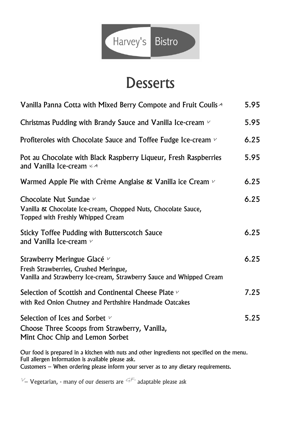

## **Desserts**

| Vanilla Panna Cotta with Mixed Berry Compote and Fruit Coulis A                                                                              | 5.95 |
|----------------------------------------------------------------------------------------------------------------------------------------------|------|
| Christmas Pudding with Brandy Sauce and Vanilla Ice-cream $\vee$                                                                             | 5.95 |
| Profiteroles with Chocolate Sauce and Toffee Fudge Ice-cream $\frac{1}{2}$                                                                   | 6.25 |
| Pot au Chocolate with Black Raspberry Liqueur, Fresh Raspberries<br>and Vanilla Ice-cream $44$                                               | 5.95 |
| Warmed Apple Pie with Crème Anglaise & Vanilla ice Cream $\vee$                                                                              | 6.25 |
| Chocolate Nut Sundae $\nu$<br>Vanilla & Chocolate Ice-cream, Chopped Nuts, Chocolate Sauce,<br>Topped with Freshly Whipped Cream             | 6.25 |
| <b>Sticky Toffee Pudding with Butterscotch Sauce</b><br>and Vanilla Ice-cream $\nu$                                                          | 6.25 |
| Strawberry Meringue Glacé v<br>Fresh Strawberries, Crushed Meringue,<br>Vanilla and Strawberry Ice-cream, Strawberry Sauce and Whipped Cream | 6.25 |
| Selection of Scottish and Continental Cheese Plate $\vee$<br>with Red Onion Chutney and Perthshire Handmade Oatcakes                         | 7.25 |
| Selection of Ices and Sorbet $\nu$<br>Choose Three Scoops from Strawberry, Vanilla,<br>Mint Choc Chip and Lemon Sorbet                       | 5.25 |
|                                                                                                                                              |      |

Our food is prepared in a kitchen with nuts and other ingredients not specified on the menu. Full allergen Information is available please ask. Customers – When ordering please inform your server as to any dietary requirements.

 $V$ – Vegetarian, - many of our desserts are  $G_F$  adaptable please ask